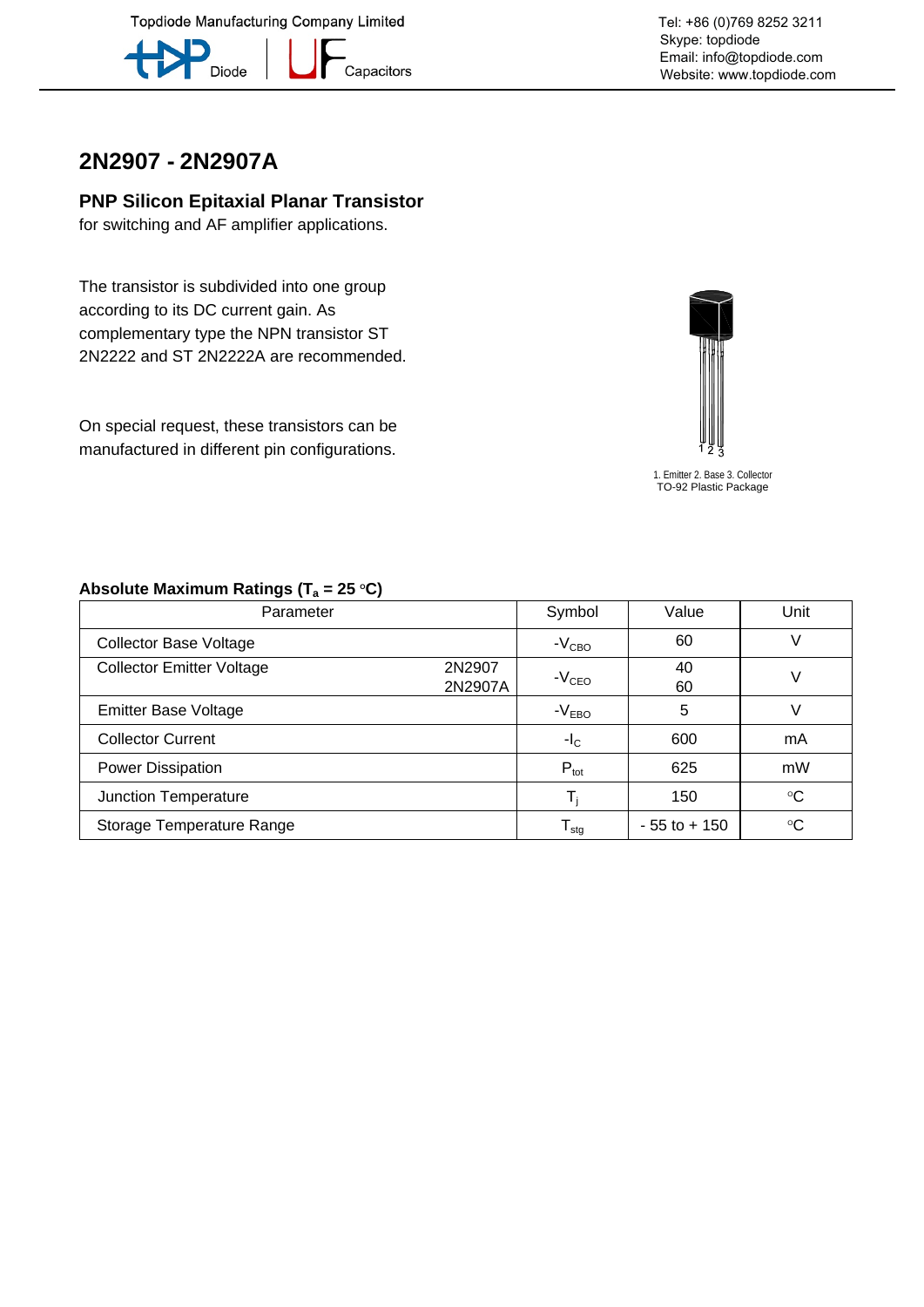**Topdiode Manufacturing Company Limited** 



–<br>Capacitors

# **2N2907 - 2N2907A**

#### **PNP Silicon Epitaxial Planar Transistor**

for switching and AF amplifier applications.

The transistor is subdivided into one group according to its DC current gain. As complementary type the NPN transistor ST 2N2222 and ST 2N2222A are recommended.

On special request, these transistors can be manufactured in different pin configurations.



1. Emitter 2. Base 3. Collector TO-92 Plastic Package

| Parameter                        |                   | Symbol                     | Value           | Unit        |  |
|----------------------------------|-------------------|----------------------------|-----------------|-------------|--|
| <b>Collector Base Voltage</b>    |                   | $-VCBO$                    | 60              |             |  |
| <b>Collector Emitter Voltage</b> | 2N2907<br>2N2907A | $-VCEO$                    | 40<br>60        | V           |  |
| <b>Emitter Base Voltage</b>      |                   | $-VEBO$                    | 5               |             |  |
| <b>Collector Current</b>         |                   | $-IC$                      | 600             | mA          |  |
| Power Dissipation                |                   | $P_{\text{tot}}$           | 625             | mW          |  |
| Junction Temperature             |                   |                            | 150             | $^{\circ}C$ |  |
| Storage Temperature Range        |                   | ${\mathsf T}_{\text{stg}}$ | $-55$ to $+150$ | $^{\circ}C$ |  |

#### Absolute Maximum Ratings (T<sub>a</sub> = 25 °C)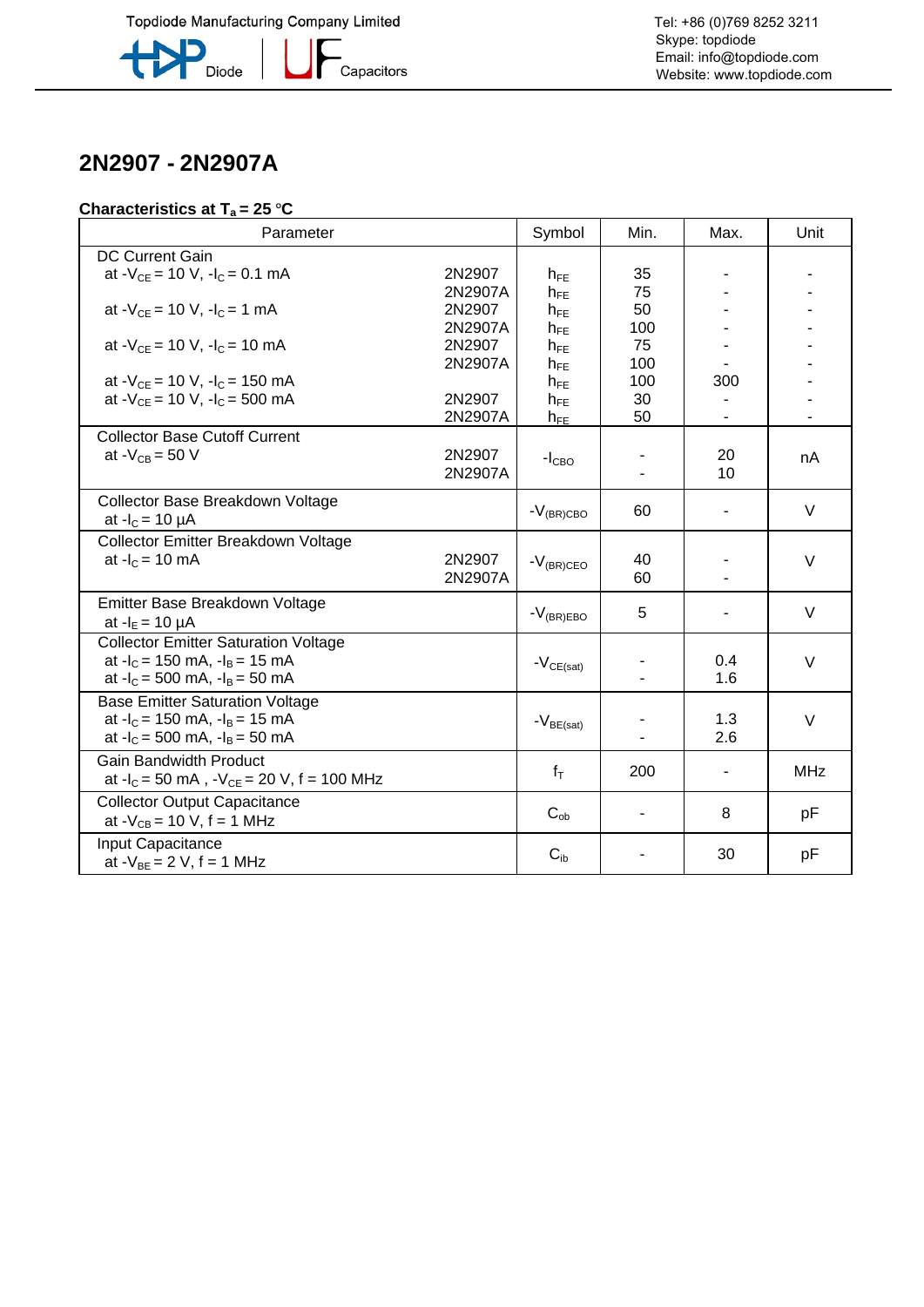

**\_**<br>Capacitors

# **2N2907 - 2N2907A**

### **Characteristics at T<sub>a</sub> = 25 °C**

| Parameter                                                                    |         | Symbol              | Min. | Max.                         | Unit       |
|------------------------------------------------------------------------------|---------|---------------------|------|------------------------------|------------|
| <b>DC Current Gain</b>                                                       |         |                     |      |                              |            |
| at $-V_{CE} = 10 V$ , $-I_C = 0.1 mA$                                        | 2N2907  | $h_{FE}$            | 35   |                              |            |
|                                                                              | 2N2907A | $h_{FE}$            | 75   |                              |            |
| at - $V_{CF}$ = 10 V, -l <sub>C</sub> = 1 mA                                 | 2N2907  | $h_{FE}$            | 50   |                              |            |
|                                                                              | 2N2907A | $h_{FE}$            | 100  |                              |            |
| at - $V_{CE}$ = 10 V, -l <sub>C</sub> = 10 mA                                | 2N2907  | $h_{FE}$            | 75   |                              |            |
|                                                                              | 2N2907A | $h_{FE}$            | 100  |                              |            |
| at $-V_{CE}$ = 10 V, $-I_C$ = 150 mA                                         |         | $h_{FE}$            | 100  | 300                          |            |
| at $-V_{CE}$ = 10 V, $-I_C$ = 500 mA                                         | 2N2907  | $h_{FE}$            | 30   |                              |            |
|                                                                              | 2N2907A | $h_{FE}$            | 50   | $\qquad \qquad \blacksquare$ |            |
| <b>Collector Base Cutoff Current</b>                                         |         |                     |      |                              |            |
| at $-V_{CB} = 50$ V                                                          | 2N2907  | $-ICBO$             |      | 20                           | nA         |
|                                                                              | 2N2907A |                     |      | 10                           |            |
| Collector Base Breakdown Voltage                                             |         |                     |      |                              |            |
| at $-I_c = 10 \mu A$                                                         |         | $-V_{\rm (BR) CBO}$ | 60   |                              | V          |
| Collector Emitter Breakdown Voltage                                          |         |                     |      |                              |            |
| at $-IC = 10$ mA                                                             | 2N2907  | $-V_{(BR)CEO}$      | 40   |                              | $\vee$     |
|                                                                              | 2N2907A |                     | 60   |                              |            |
| Emitter Base Breakdown Voltage                                               |         |                     |      |                              |            |
| at $-I_E = 10 \mu A$                                                         |         | $-V_{(BR)EBO}$      | 5    |                              | $\vee$     |
| <b>Collector Emitter Saturation Voltage</b>                                  |         |                     |      |                              |            |
| at $-I_c = 150$ mA, $-I_B = 15$ mA                                           |         |                     |      | 0.4                          | V          |
| at $-I_c = 500$ mA, $-I_B = 50$ mA                                           |         | $-V_{CE(sat)}$      |      | 1.6                          |            |
|                                                                              |         |                     |      |                              |            |
| <b>Base Emitter Saturation Voltage</b><br>at $-I_c = 150$ mA, $-I_B = 15$ mA |         |                     |      | 1.3                          |            |
| at $-I_c = 500$ mA, $-I_B = 50$ mA                                           |         | $-V_{BE(sat)}$      |      | 2.6                          | V          |
|                                                                              |         |                     |      |                              |            |
| <b>Gain Bandwidth Product</b>                                                |         | $f_T$               | 200  |                              | <b>MHz</b> |
| at $-I_c = 50$ mA, $-V_{CE} = 20$ V, f = 100 MHz                             |         |                     |      |                              |            |
| <b>Collector Output Capacitance</b>                                          |         |                     |      | 8                            |            |
| at $-V_{CB} = 10 V$ , f = 1 MHz                                              |         | $C_{ob}$            |      |                              | рF         |
| Input Capacitance                                                            |         |                     |      |                              |            |
| at $-V_{BE} = 2 V$ , f = 1 MHz                                               |         | $C_{ib}$            |      | 30                           | pF         |